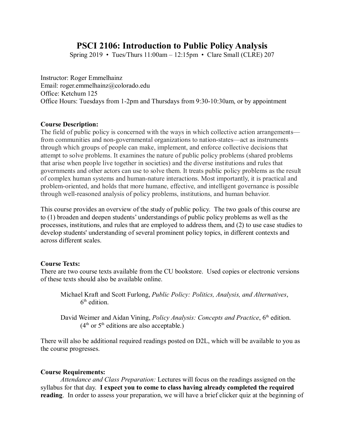# **PSCI 2106: Introduction to Public Policy Analysis**

Spring 2019 • Tues/Thurs  $11:00$ am –  $12:15$ pm • Clare Small (CLRE) 207

Instructor: Roger Emmelhainz Email: roger.emmelhainz@colorado.edu Office: Ketchum 125 Office Hours: Tuesdays from 1-2pm and Thursdays from 9:30-10:30am, or by appointment

## **Course Description:**

The field of public policy is concerned with the ways in which collective action arrangements from communities and non-governmental organizations to nation-states—act as instruments through which groups of people can make, implement, and enforce collective decisions that attempt to solve problems. It examines the nature of public policy problems (shared problems that arise when people live together in societies) and the diverse institutions and rules that governments and other actors can use to solve them. It treats public policy problems as the result of complex human systems and human-nature interactions. Most importantly, it is practical and problem-oriented, and holds that more humane, effective, and intelligent governance is possible through well-reasoned analysis of policy problems, institutions, and human behavior.

This course provides an overview of the study of public policy. The two goals of this course are to (1) broaden and deepen students' understandings of public policy problems as well as the processes, institutions, and rules that are employed to address them, and (2) to use case studies to develop students' understanding of several prominent policy topics, in different contexts and across different scales.

## **Course Texts:**

There are two course texts available from the CU bookstore. Used copies or electronic versions of these texts should also be available online.

Michael Kraft and Scott Furlong, *Public Policy: Politics, Analysis, and Alternatives*, 6 th edition.

David Weimer and Aidan Vining, *Policy Analysis: Concepts and Practice*, 6<sup>th</sup> edition.  $(4<sup>th</sup>$  or  $5<sup>th</sup>$  editions are also acceptable.)

There will also be additional required readings posted on D2L, which will be available to you as the course progresses.

#### **Course Requirements:**

*Attendance and Class Preparation:* Lectures will focus on the readings assigned on the syllabus for that day. **I expect you to come to class having already completed the required reading**. In order to assess your preparation, we will have a brief clicker quiz at the beginning of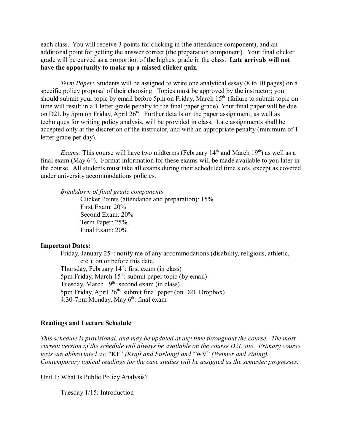each class. You will receive 3 points for clicking in (the attendance component), and an additional point for getting the answer correct (the preparation component). Your final clicker grade will be curved as a proportion of the highest grade in the class. **Late arrivals will not have the opportunity to make up a missed clicker quiz.**

*Term Paper:* Students will be assigned to write one analytical essay (8 to 10 pages) on a specific policy proposal of their choosing. Topics must be approved by the instructor; you should submit your topic by email before 5pm on Friday, March  $15<sup>th</sup>$  (failure to submit topic on time will result in a 1 letter grade penalty to the final paper grade). Your final paper will be due on D2L by 5pm on Friday, April  $26<sup>th</sup>$ . Further details on the paper assignment, as well as techniques for writing policy analysis, will be provided in class. Late assignments shall be accepted only at the discretion of the instructor, and with an appropriate penalty (minimum of 1 letter grade per day).

*Exams:* This course will have two midterms (February 14<sup>th</sup> and March 19<sup>th</sup>) as well as a final exam (May  $6<sup>th</sup>$ ). Format information for these exams will be made available to you later in the course. All students must take all exams during their scheduled time slots, except as covered under university accommodations policies.

*Breakdown of final grade components:*

Clicker Points (attendance and preparation): 15% First Exam: 20% Second Exam: 20% Term Paper: 25%. Final Exam: 20%

### **Important Dates:**

Friday, January  $25<sup>th</sup>$ : notify me of any accommodations (disability, religious, athletic, etc.), on or before this date. Thursday, February  $14<sup>th</sup>$ : first exam (in class) 5pm Friday, March  $15<sup>th</sup>$ : submit paper topic (by email) Tuesday, March  $19^{th}$ : second exam (in class) 5pm Friday, April  $26<sup>th</sup>$ : submit final paper (on D2L Dropbox)  $4:30-7$ pm Monday, May  $6<sup>th</sup>$ : final exam

#### **Readings and Lecture Schedule**

*This schedule is provisional, and may be updated at any time throughout the course. The most current version of the schedule will always be available on the course D2L site. Primary course texts are abbreviated as:* "KF" *(Kraft and Furlong) and* "WV" *(Weimer and Vining). Contemporary topical readings for the case studies will be assigned as the semester progresses.*

Unit 1: What Is Public Policy Analysis?

Tuesday 1/15: Introduction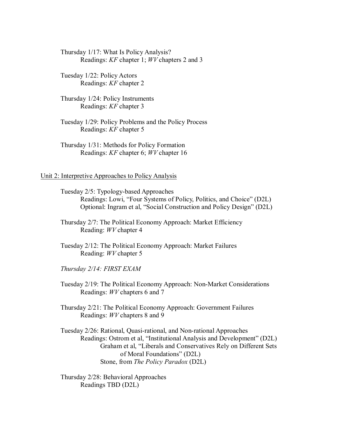Thursday 1/17: What Is Policy Analysis? Readings: *KF* chapter 1; *WV* chapters 2 and 3

Tuesday 1/22: Policy Actors Readings: *KF* chapter 2

Thursday 1/24: Policy Instruments Readings: *KF* chapter 3

Tuesday 1/29: Policy Problems and the Policy Process Readings: *KF* chapter 5

Thursday 1/31: Methods for Policy Formation Readings: *KF* chapter 6; *WV* chapter 16

## Unit 2: Interpretive Approaches to Policy Analysis

Tuesday 2/5: Typology-based Approaches Readings: Lowi, "Four Systems of Policy, Politics, and Choice" (D2L) Optional: Ingram et al, "Social Construction and Policy Design" (D2L)

Thursday 2/7: The Political Economy Approach: Market Efficiency Reading: *WV* chapter 4

Tuesday 2/12: The Political Economy Approach: Market Failures Reading: *WV* chapter 5

*Thursday 2/14: FIRST EXAM*

Tuesday 2/19: The Political Economy Approach: Non-Market Considerations Readings: *WV* chapters 6 and 7

Thursday 2/21: The Political Economy Approach: Government Failures Readings: *WV* chapters 8 and 9

Tuesday 2/26: Rational, Quasi-rational, and Non-rational Approaches Readings: Ostrom et al, "Institutional Analysis and Development" (D2L) Graham et al, "Liberals and Conservatives Rely on Different Sets of Moral Foundations" (D2L) Stone, from *The Policy Paradox* (D2L)

Thursday 2/28: Behavioral Approaches Readings TBD (D2L)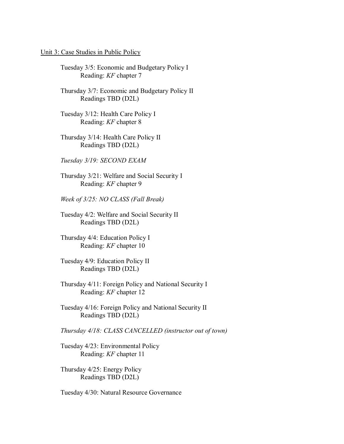## Unit 3: Case Studies in Public Policy

- Tuesday 3/5: Economic and Budgetary Policy I Reading: *KF* chapter 7
- Thursday 3/7: Economic and Budgetary Policy II Readings TBD (D2L)
- Tuesday 3/12: Health Care Policy I Reading: *KF* chapter 8
- Thursday 3/14: Health Care Policy II Readings TBD (D2L)
- *Tuesday 3/19: SECOND EXAM*
- Thursday 3/21: Welfare and Social Security I Reading: *KF* chapter 9
- *Week of 3/25: NO CLASS (Fall Break)*
- Tuesday 4/2: Welfare and Social Security II Readings TBD (D2L)
- Thursday 4/4: Education Policy I Reading: *KF* chapter 10
- Tuesday 4/9: Education Policy II Readings TBD (D2L)
- Thursday 4/11: Foreign Policy and National Security I Reading: *KF* chapter 12
- Tuesday 4/16: Foreign Policy and National Security II Readings TBD (D2L)
- *Thursday 4/18: CLASS CANCELLED (instructor out of town)*
- Tuesday 4/23: Environmental Policy Reading: *KF* chapter 11
- Thursday 4/25: Energy Policy Readings TBD (D2L)
- Tuesday 4/30: Natural Resource Governance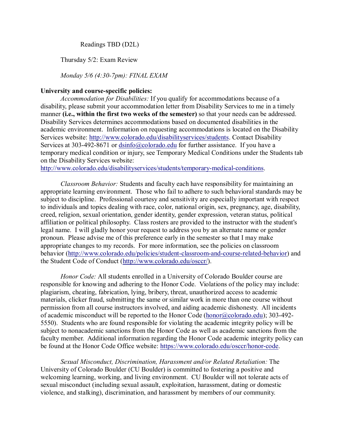Readings TBD (D2L)

Thursday 5/2: Exam Review

*Monday 5/6 (4:30-7pm): FINAL EXAM*

# **University and course-specific policies:**

*Accommodation for Disabilities:* If you qualify for accommodations because of a disability, please submit your accommodation letter from Disability Services to me in a timely manner **(i.e., within the first two weeks of the semester)** so that your needs can be addressed. Disability Services determines accommodations based on documented disabilities in the academic environment. Information on requesting accommodations is located on the Disability Services website: http://www.colorado.edu/disabilityservices/students. Contact Disability Services at 303-492-8671 or dsinfo@colorado.edu for further assistance. If you have a temporary medical condition or injury, see Temporary Medical Conditions under the Students tab on the Disability Services website:

http://www.colorado.edu/disabilityservices/students/temporary-medical-conditions.

*Classroom Behavior:* Students and faculty each have responsibility for maintaining an appropriate learning environment. Those who fail to adhere to such behavioral standards may be subject to discipline. Professional courtesy and sensitivity are especially important with respect to individuals and topics dealing with race, color, national origin, sex, pregnancy, age, disability, creed, religion, sexual orientation, gender identity, gender expression, veteran status, political affiliation or political philosophy. Class rosters are provided to the instructor with the student's legal name. I will gladly honor your request to address you by an alternate name or gender pronoun. Please advise me of this preference early in the semester so that I may make appropriate changes to my records. For more information, see the policies on classroom behavior (http://www.colorado.edu/policies/student-classroom-and-course-related-behavior) and the Student Code of Conduct (http://www.colorado.edu/osccr/).

*Honor Code:* All students enrolled in a University of Colorado Boulder course are responsible for knowing and adhering to the Honor Code. Violations of the policy may include: plagiarism, cheating, fabrication, lying, bribery, threat, unauthorized access to academic materials, clicker fraud, submitting the same or similar work in more than one course without permission from all course instructors involved, and aiding academic dishonesty. All incidents of academic misconduct will be reported to the Honor Code (honor@colorado.edu); 303-492- 5550). Students who are found responsible for violating the academic integrity policy will be subject to nonacademic sanctions from the Honor Code as well as academic sanctions from the faculty member. Additional information regarding the Honor Code academic integrity policy can be found at the Honor Code Office website: https://www.colorado.edu/osccr/honor-code.

*Sexual Misconduct, Discrimination, Harassment and/or Related Retaliation:* The University of Colorado Boulder (CU Boulder) is committed to fostering a positive and welcoming learning, working, and living environment. CU Boulder will not tolerate acts of sexual misconduct (including sexual assault, exploitation, harassment, dating or domestic violence, and stalking), discrimination, and harassment by members of our community.